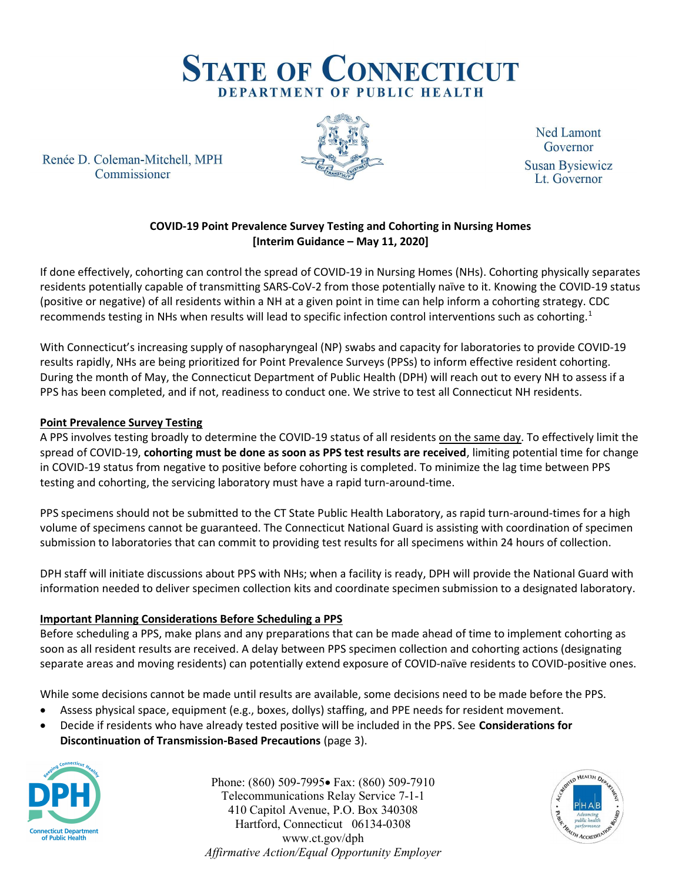

Renée D. Coleman-Mitchell, MPH Commissioner



**Ned Lamont** Governor **Susan Bysiewicz** Lt. Governor

# COVID-19 Point Prevalence Survey Testing and Cohorting in Nursing Homes [Interim Guidance – May 11, 2020]

If done effectively, cohorting can control the spread of COVID-19 in Nursing Homes (NHs). Cohorting physically separates residents potentially capable of transmitting SARS-CoV-2 from those potentially naïve to it. Knowing the COVID-19 status (positive or negative) of all residents within a NH at a given point in time can help inform a cohorting strategy. CDC recommends testing in NHs when results will lead to specific infection control interventions such as cohorting.<sup>1</sup>

With Connecticut's increasing supply of nasopharyngeal (NP) swabs and capacity for laboratories to provide COVID-19 results rapidly, NHs are being prioritized for Point Prevalence Surveys (PPSs) to inform effective resident cohorting. During the month of May, the Connecticut Department of Public Health (DPH) will reach out to every NH to assess if a PPS has been completed, and if not, readiness to conduct one. We strive to test all Connecticut NH residents.

### Point Prevalence Survey Testing

A PPS involves testing broadly to determine the COVID-19 status of all residents on the same day. To effectively limit the spread of COVID-19, cohorting must be done as soon as PPS test results are received, limiting potential time for change in COVID-19 status from negative to positive before cohorting is completed. To minimize the lag time between PPS testing and cohorting, the servicing laboratory must have a rapid turn-around-time.

PPS specimens should not be submitted to the CT State Public Health Laboratory, as rapid turn-around-times for a high volume of specimens cannot be guaranteed. The Connecticut National Guard is assisting with coordination of specimen submission to laboratories that can commit to providing test results for all specimens within 24 hours of collection.

DPH staff will initiate discussions about PPS with NHs; when a facility is ready, DPH will provide the National Guard with information needed to deliver specimen collection kits and coordinate specimen submission to a designated laboratory.

### Important Planning Considerations Before Scheduling a PPS

Before scheduling a PPS, make plans and any preparations that can be made ahead of time to implement cohorting as soon as all resident results are received. A delay between PPS specimen collection and cohorting actions (designating separate areas and moving residents) can potentially extend exposure of COVID-naïve residents to COVID-positive ones.

While some decisions cannot be made until results are available, some decisions need to be made before the PPS.

- Assess physical space, equipment (e.g., boxes, dollys) staffing, and PPE needs for resident movement.
- Decide if residents who have already tested positive will be included in the PPS. See Considerations for Discontinuation of Transmission-Based Precautions (page 3).



Phone: (860) 509-7995 Fax: (860) 509-7910 Telecommunications Relay Service 7-1-1 410 Capitol Avenue, P.O. Box 340308 Hartford, Connecticut 06134-0308 www.ct.gov/dph Affirmative Action/Equal Opportunity Employer

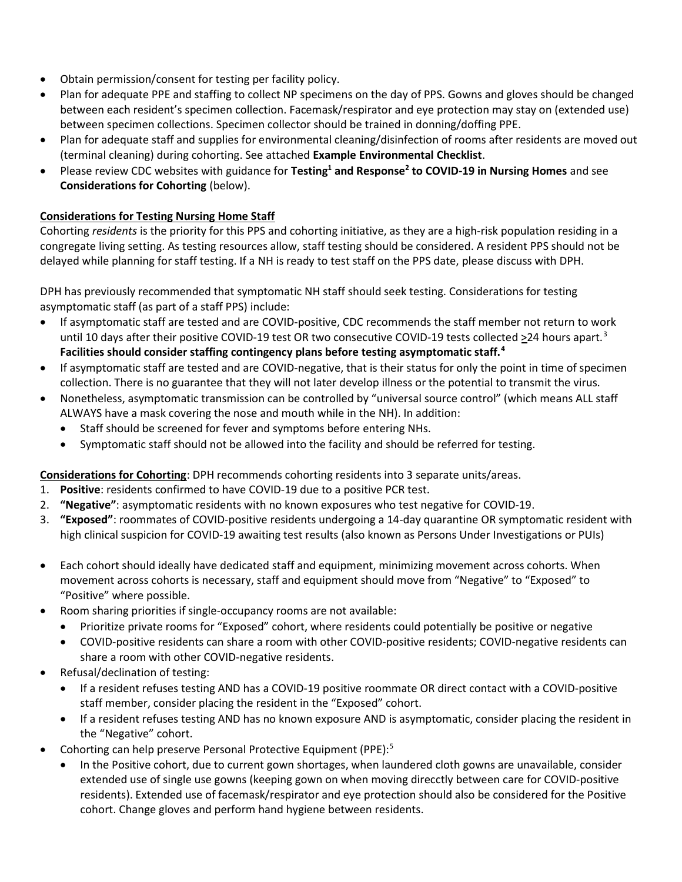- Obtain permission/consent for testing per facility policy.
- Plan for adequate PPE and staffing to collect NP specimens on the day of PPS. Gowns and gloves should be changed between each resident's specimen collection. Facemask/respirator and eye protection may stay on (extended use) between specimen collections. Specimen collector should be trained in donning/doffing PPE.
- Plan for adequate staff and supplies for environmental cleaning/disinfection of rooms after residents are moved out (terminal cleaning) during cohorting. See attached Example Environmental Checklist.
- Please review CDC websites with guidance for Testing<sup>1</sup> and Response<sup>2</sup> to COVID-19 in Nursing Homes and see Considerations for Cohorting (below).

### Considerations for Testing Nursing Home Staff

Cohorting residents is the priority for this PPS and cohorting initiative, as they are a high-risk population residing in a congregate living setting. As testing resources allow, staff testing should be considered. A resident PPS should not be delayed while planning for staff testing. If a NH is ready to test staff on the PPS date, please discuss with DPH.

DPH has previously recommended that symptomatic NH staff should seek testing. Considerations for testing asymptomatic staff (as part of a staff PPS) include:

- If asymptomatic staff are tested and are COVID-positive, CDC recommends the staff member not return to work until 10 days after their positive COVID-19 test OR two consecutive COVID-19 tests collected >24 hours apart.<sup>3</sup> Facilities should consider staffing contingency plans before testing asymptomatic staff.<sup>4</sup>
- If asymptomatic staff are tested and are COVID-negative, that is their status for only the point in time of specimen collection. There is no guarantee that they will not later develop illness or the potential to transmit the virus.
- Nonetheless, asymptomatic transmission can be controlled by "universal source control" (which means ALL staff ALWAYS have a mask covering the nose and mouth while in the NH). In addition:
	- Staff should be screened for fever and symptoms before entering NHs.
	- Symptomatic staff should not be allowed into the facility and should be referred for testing.

Considerations for Cohorting: DPH recommends cohorting residents into 3 separate units/areas.

- 1. Positive: residents confirmed to have COVID-19 due to a positive PCR test.
- 2. "Negative": asymptomatic residents with no known exposures who test negative for COVID-19.
- 3. "Exposed": roommates of COVID-positive residents undergoing a 14-day quarantine OR symptomatic resident with high clinical suspicion for COVID-19 awaiting test results (also known as Persons Under Investigations or PUIs)
- Each cohort should ideally have dedicated staff and equipment, minimizing movement across cohorts. When movement across cohorts is necessary, staff and equipment should move from "Negative" to "Exposed" to "Positive" where possible.
- Room sharing priorities if single-occupancy rooms are not available:
	- Prioritize private rooms for "Exposed" cohort, where residents could potentially be positive or negative
	- COVID-positive residents can share a room with other COVID-positive residents; COVID-negative residents can share a room with other COVID-negative residents.
- Refusal/declination of testing:
	- If a resident refuses testing AND has a COVID-19 positive roommate OR direct contact with a COVID-positive staff member, consider placing the resident in the "Exposed" cohort.
	- If a resident refuses testing AND has no known exposure AND is asymptomatic, consider placing the resident in the "Negative" cohort.
- Cohorting can help preserve Personal Protective Equipment (PPE):<sup>5</sup>
	- In the Positive cohort, due to current gown shortages, when laundered cloth gowns are unavailable, consider extended use of single use gowns (keeping gown on when moving direcctly between care for COVID-positive residents). Extended use of facemask/respirator and eye protection should also be considered for the Positive cohort. Change gloves and perform hand hygiene between residents.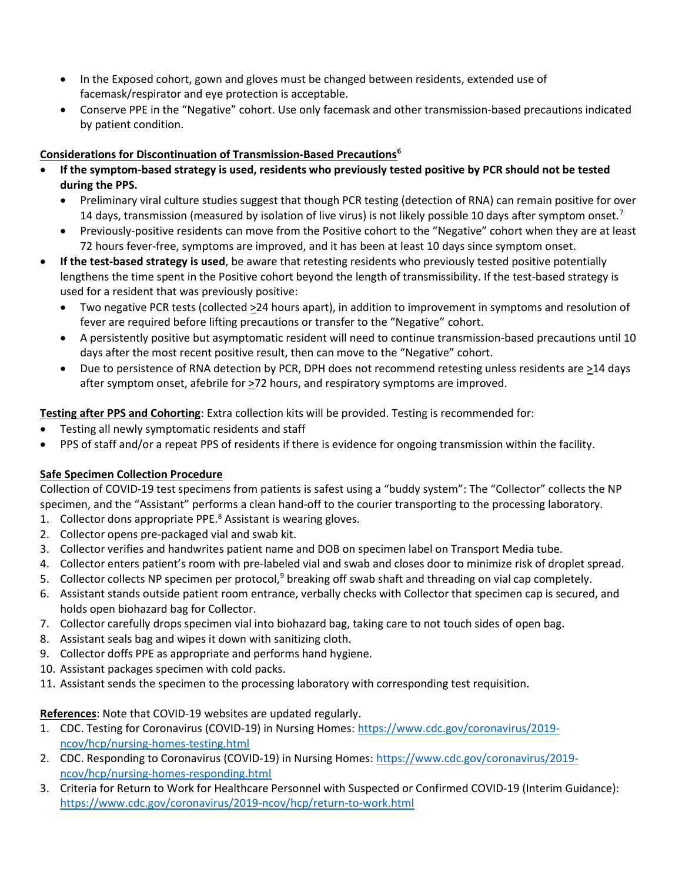- In the Exposed cohort, gown and gloves must be changed between residents, extended use of facemask/respirator and eye protection is acceptable.
- Conserve PPE in the "Negative" cohort. Use only facemask and other transmission-based precautions indicated by patient condition.

## Considerations for Discontinuation of Transmission-Based Precautions<sup>6</sup>

- If the symptom-based strategy is used, residents who previously tested positive by PCR should not be tested during the PPS.
	- Preliminary viral culture studies suggest that though PCR testing (detection of RNA) can remain positive for over 14 days, transmission (measured by isolation of live virus) is not likely possible 10 days after symptom onset.<sup>7</sup>
	- Previously-positive residents can move from the Positive cohort to the "Negative" cohort when they are at least 72 hours fever-free, symptoms are improved, and it has been at least 10 days since symptom onset.
- If the test-based strategy is used, be aware that retesting residents who previously tested positive potentially lengthens the time spent in the Positive cohort beyond the length of transmissibility. If the test-based strategy is used for a resident that was previously positive:
	- Two negative PCR tests (collected >24 hours apart), in addition to improvement in symptoms and resolution of fever are required before lifting precautions or transfer to the "Negative" cohort.
	- A persistently positive but asymptomatic resident will need to continue transmission-based precautions until 10 days after the most recent positive result, then can move to the "Negative" cohort.
	- Due to persistence of RNA detection by PCR, DPH does not recommend retesting unless residents are >14 days after symptom onset, afebrile for  $\geq$ 72 hours, and respiratory symptoms are improved.

Testing after PPS and Cohorting: Extra collection kits will be provided. Testing is recommended for:

- Testing all newly symptomatic residents and staff
- PPS of staff and/or a repeat PPS of residents if there is evidence for ongoing transmission within the facility.

# Safe Specimen Collection Procedure

Collection of COVID-19 test specimens from patients is safest using a "buddy system": The "Collector" collects the NP specimen, and the "Assistant" performs a clean hand-off to the courier transporting to the processing laboratory.

- 1. Collector dons appropriate PPE.<sup>8</sup> Assistant is wearing gloves.
- 2. Collector opens pre-packaged vial and swab kit.
- 3. Collector verifies and handwrites patient name and DOB on specimen label on Transport Media tube.
- 4. Collector enters patient's room with pre-labeled vial and swab and closes door to minimize risk of droplet spread.
- 5. Collector collects NP specimen per protocol,<sup>9</sup> breaking off swab shaft and threading on vial cap completely.
- 6. Assistant stands outside patient room entrance, verbally checks with Collector that specimen cap is secured, and holds open biohazard bag for Collector.
- 7. Collector carefully drops specimen vial into biohazard bag, taking care to not touch sides of open bag.
- 8. Assistant seals bag and wipes it down with sanitizing cloth.
- 9. Collector doffs PPE as appropriate and performs hand hygiene.
- 10. Assistant packages specimen with cold packs.
- 11. Assistant sends the specimen to the processing laboratory with corresponding test requisition.

### References: Note that COVID-19 websites are updated regularly.

- 1. CDC. Testing for Coronavirus (COVID-19) in Nursing Homes: https://www.cdc.gov/coronavirus/2019 ncov/hcp/nursing-homes-testing.html
- 2. CDC. Responding to Coronavirus (COVID-19) in Nursing Homes: https://www.cdc.gov/coronavirus/2019 ncov/hcp/nursing-homes-responding.html
- 3. Criteria for Return to Work for Healthcare Personnel with Suspected or Confirmed COVID-19 (Interim Guidance): https://www.cdc.gov/coronavirus/2019-ncov/hcp/return-to-work.html